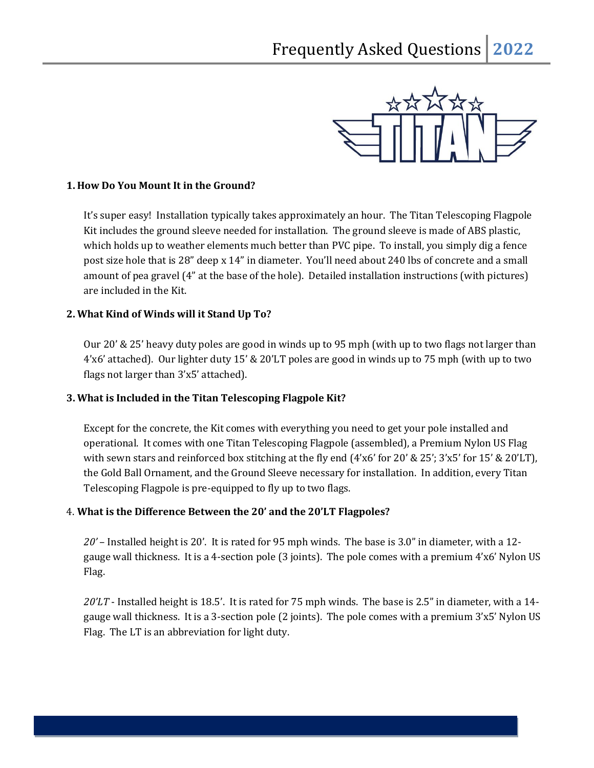

#### **1. How Do You Mount It in the Ground?**

It's super easy! Installation typically takes approximately an hour. The Titan Telescoping Flagpole Kit includes the ground sleeve needed for installation. The ground sleeve is made of ABS plastic, which holds up to weather elements much better than PVC pipe. To install, you simply dig a fence post size hole that is 28" deep x 14" in diameter. You'll need about 240 lbs of concrete and a small amount of pea gravel (4" at the base of the hole). Detailed installation instructions (with pictures) are included in the Kit.

### **2. What Kind of Winds will it Stand Up To?**

Our 20' & 25' heavy duty poles are good in winds up to 95 mph (with up to two flags not larger than 4'x6' attached). Our lighter duty 15' & 20'LT poles are good in winds up to 75 mph (with up to two flags not larger than 3'x5' attached).

#### **3. What is Included in the Titan Telescoping Flagpole Kit?**

Except for the concrete, the Kit comes with everything you need to get your pole installed and operational. It comes with one Titan Telescoping Flagpole (assembled), a Premium Nylon US Flag with sewn stars and reinforced box stitching at the fly end (4'x6' for 20' & 25'; 3'x5' for 15' & 20'LT), the Gold Ball Ornament, and the Ground Sleeve necessary for installation. In addition, every Titan Telescoping Flagpole is pre-equipped to fly up to two flags.

#### 4. **What is the Difference Between the 20' and the 20'LT Flagpoles?**

*20'* – Installed height is 20'. It is rated for 95 mph winds. The base is 3.0" in diameter, with a 12 gauge wall thickness. It is a 4-section pole (3 joints). The pole comes with a premium 4'x6' Nylon US Flag.

*20'LT* - Installed height is 18.5'. It is rated for 75 mph winds. The base is 2.5" in diameter, with a 14 gauge wall thickness. It is a 3-section pole (2 joints). The pole comes with a premium 3'x5' Nylon US Flag. The LT is an abbreviation for light duty.